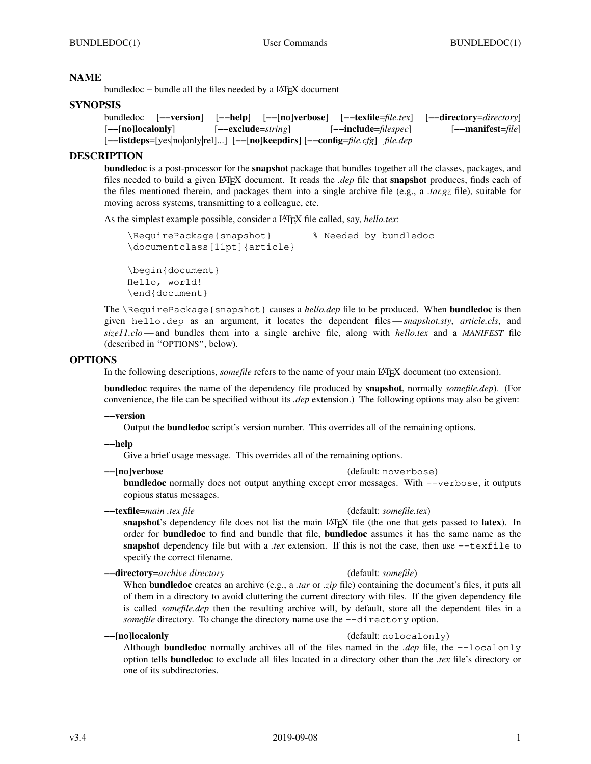# **NAME**

bundledoc – bundle all the files needed by a L<sup>AT</sup>EX document

# **SYNOPSIS**

```
bundledoc [−−version] [−−help] [−−[no]verbose] [−−texfile=file.tex] [−−directory=directory]
[−−[no]localonly] [−−exclude=string] [−−include=filespec] [−−manifest=file]
[−−listdeps=[yes|no|only|rel]...] [−−[no]keepdirs] [−−config=file.cfg] file.dep
```
# **DESCRIPTION**

**bundledoc** is a post-processor for the **snapshot** package that bundles together all the classes, packages, and files needed to build a given L<sup>A</sup>TEX document. It reads the *.dep* file that **snapshot** produces, finds each of the files mentioned therein, and packages them into a single archive file (e.g., a *.tar.gz* file), suitable for moving across systems, transmitting to a colleague, etc.

As the simplest example possible, consider a LAT<sub>E</sub>X file called, say, *hello.tex*:

```
\RequirePackage{snapshot} % Needed by bundledoc
\documentclass[11pt]{article}
\begin{document}
Hello, world!
\end{document}
```
The \RequirePackage{snapshot} causes a *hello.dep* file to be produced. When **bundledoc** is then given hello.dep as an argument, it locates the dependent files—*snapshot.sty*, *article.cls*, and *size11.clo*— and bundles them into a single archive file, along with *hello.tex* and a *MANIFEST* file (described in ''OPTIONS'', below).

# **OPTIONS**

In the following descriptions, *somefile* refers to the name of your main LAT<sub>EX</sub> document (no extension).

**bundledoc** requires the name of the dependency file produced by **snapshot**, normally *somefile.dep*). (For convenience, the file can be specified without its *.dep* extension.) The following options may also be given:

## **−−version**

Output the **bundledoc** script's version number. This overrides all of the remaining options.

## **−−help**

Give a brief usage message. This overrides all of the remaining options.

## **−−**[**no**]**verbose** (default: noverbose)

**bundledoc** normally does not output anything except error messages. With −−verbose, it outputs copious status messages.

**−−texfile**=*main .tex file* (default: *somefile.tex*) snapshot's dependency file does not list the main L<sup>AT</sup>EX file (the one that gets passed to **latex**). In order for **bundledoc** to find and bundle that file, **bundledoc** assumes it has the same name as the **snapshot** dependency file but with a *.tex* extension. If this is not the case, then use −−texfile to

# **−−directory**=*archive directory* (default: *somefile*)

specify the correct filename.

When **bundledoc** creates an archive (e.g., a *.tar* or *.zip* file) containing the document's files, it puts all of them in a directory to avoid cluttering the current directory with files. If the given dependency file is called *somefile.dep* then the resulting archive will, by default, store all the dependent files in a *somefile* directory. To change the directory name use the --directory option.

# **−−**[**no**]**localonly** (default: nolocalonly)

Although **bundledoc** normally archives all of the files named in the *.dep* file, the −−localonly option tells **bundledoc** to exclude all files located in a directory other than the *.tex* file's directory or one of its subdirectories.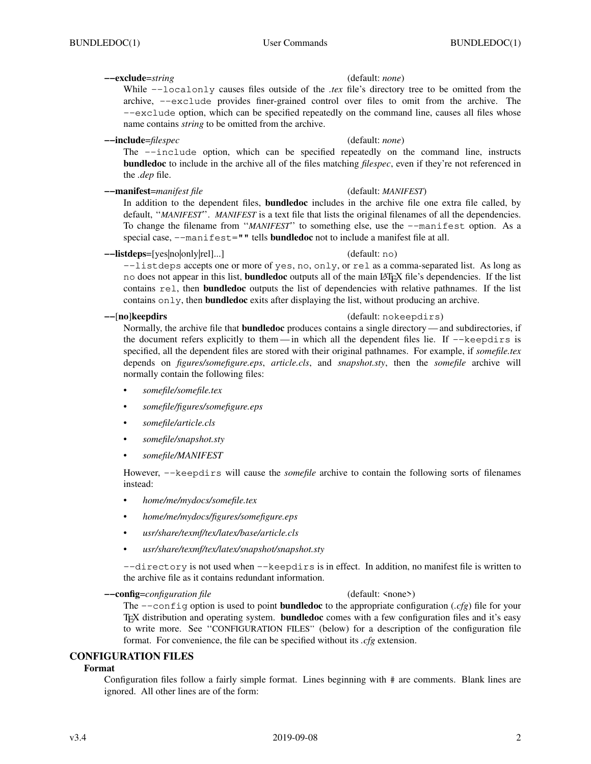## **−−exclude**=*string* (default: *none*)

While −−localonly causes files outside of the *.tex* file's directory tree to be omitted from the archive, −−exclude provides finer-grained control over files to omit from the archive. The −−exclude option, which can be specified repeatedly on the command line, causes all files whose name contains *string* to be omitted from the archive.

### **−−include**=*filespec* (default: *none*)

The −−include option, which can be specified repeatedly on the command line, instructs **bundledoc** to include in the archive all of the files matching *filespec*, even if they're not referenced in the *.dep* file.

**−−manifest**=*manifest file* (default: *MANIFEST*)

In addition to the dependent files, **bundledoc** includes in the archive file one extra file called, by default, ''*MANIFEST*''. *MANIFEST* is a text file that lists the original filenames of all the dependencies. To change the filename from ''*MANIFEST*'' to something else, use the −−manifest option. As a special case, −−manifest="" tells **bundledoc** not to include a manifest file at all.

**−−listdeps**=[yes|no|only|rel]...] (default: no)

−−listdeps accepts one or more of yes, no, only, or rel as a comma-separated list. As long as no does not appear in this list, **bundledoc** outputs all of the main L<sup>A</sup>TEX file's dependencies. If the list contains rel, then **bundledoc** outputs the list of dependencies with relative pathnames. If the list contains only, then **bundledoc** exits after displaying the list, without producing an archive.

## **−−**[**no**]**keepdirs** (default: nokeepdirs)

Normally, the archive file that **bundledoc** produces contains a single directory— and subdirectories, if the document refers explicitly to them— in which all the dependent files lie. If −−keepdirs is specified, all the dependent files are stored with their original pathnames. For example, if *somefile.tex* depends on *figures/somefigure.eps*, *article.cls*, and *snapshot.sty*, then the *somefile* archive will normally contain the following files:

- *somefile/somefile.tex*
- *somefile/figures/somefigure.eps*
- *somefile/article.cls*
- *somefile/snapshot.sty*
- *somefile/MANIFEST*

However, −−keepdirs will cause the *somefile* archive to contain the following sorts of filenames instead:

- *home/me/mydocs/somefile.tex*
- *home/me/mydocs/figures/somefigure.eps*
- *usr/share/texmf/tex/latex/base/article.cls*
- *usr/share/texmf/tex/latex/snapshot/snapshot.sty*

−−directory is not used when −−keepdirs is in effect. In addition, no manifest file is written to the archive file as it contains redundant information.

**−−config**=*configuration file* (default: <none>)

The −−config option is used to point **bundledoc** to the appropriate configuration (*.cfg*) file for your TEX distribution and operating system. **bundledoc** comes with a few configuration files and it's easy to write more. See ''CONFIGURATION FILES'' (below) for a description of the configuration file format. For convenience, the file can be specified without its *.cfg* extension.

## **CONFIGURATION FILES**

### **Format**

Configuration files follow a fairly simple format. Lines beginning with  $#$  are comments. Blank lines are ignored. All other lines are of the form: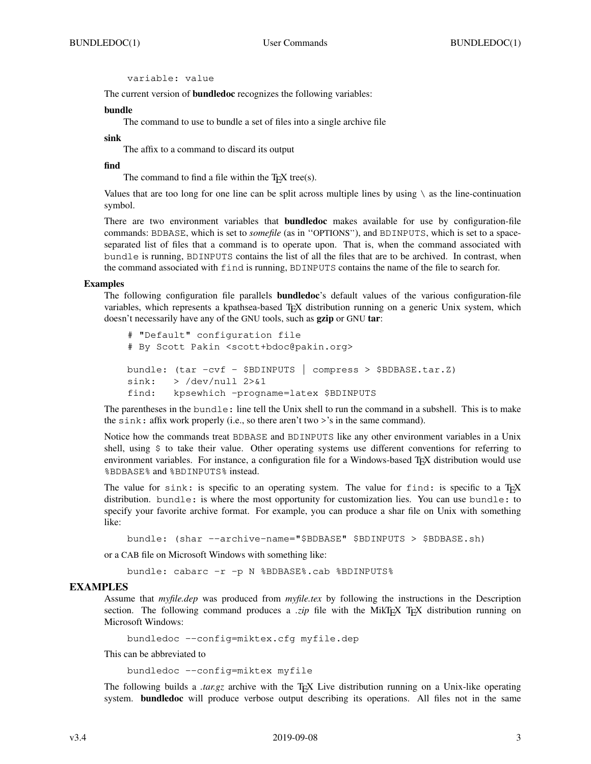variable: value

The current version of **bundledoc** recognizes the following variables:

### **bundle**

The command to use to bundle a set of files into a single archive file

#### **sink**

The affix to a command to discard its output

### **find**

The command to find a file within the  $T<sub>F</sub>X$  tree(s).

Values that are too long for one line can be split across multiple lines by using  $\setminus$  as the line-continuation symbol.

There are two environment variables that **bundledoc** makes available for use by configuration-file commands: BDBASE, which is set to *somefile* (as in ''OPTIONS''), and BDINPUTS, which is set to a spaceseparated list of files that a command is to operate upon. That is, when the command associated with bundle is running, BDINPUTS contains the list of all the files that are to be archived. In contrast, when the command associated with find is running, BDINPUTS contains the name of the file to search for.

#### **Examples**

The following configuration file parallels **bundledoc**'s default values of the various configuration-file variables, which represents a kpathsea-based TEX distribution running on a generic Unix system, which doesn't necessarily have any of the GNU tools, such as **gzip** or GNU **tar**:

```
# "Default" configuration file
# By Scott Pakin <scott+bdoc@pakin.org>
bundle: (tar −cvf − $BDINPUTS | compress > $BDBASE.tar.Z)
sink: > /dev/null 2>0.1find: kpsewhich −progname=latex $BDINPUTS
```
The parentheses in the bundle: line tell the Unix shell to run the command in a subshell. This is to make the sink: affix work properly (i.e., so there aren't two >'s in the same command).

Notice how the commands treat BDBASE and BDINPUTS like any other environment variables in a Unix shell, using \$ to take their value. Other operating systems use different conventions for referring to environment variables. For instance, a configuration file for a Windows-based TEX distribution would use %BDBASE% and %BDINPUTS% instead.

The value for sink: is specific to an operating system. The value for find: is specific to a TEX distribution. bundle: is where the most opportunity for customization lies. You can use bundle: to specify your favorite archive format. For example, you can produce a shar file on Unix with something like:

bundle: (shar −−archive−name="\$BDBASE" \$BDINPUTS > \$BDBASE.sh)

or a CAB file on Microsoft Windows with something like:

bundle: cabarc −r −p N %BDBASE%.cab %BDINPUTS%

### **EXAMPLES**

Assume that *myfile.dep* was produced from *myfile.tex* by following the instructions in the Description section. The following command produces a *.zip* file with the MikTEX TEX distribution running on Microsoft Windows:

```
bundledoc −−config=miktex.cfg myfile.dep
```
This can be abbreviated to

bundledoc −−config=miktex myfile

The following builds a *tar.gz* archive with the T<sub>E</sub>X Live distribution running on a Unix-like operating system. **bundledoc** will produce verbose output describing its operations. All files not in the same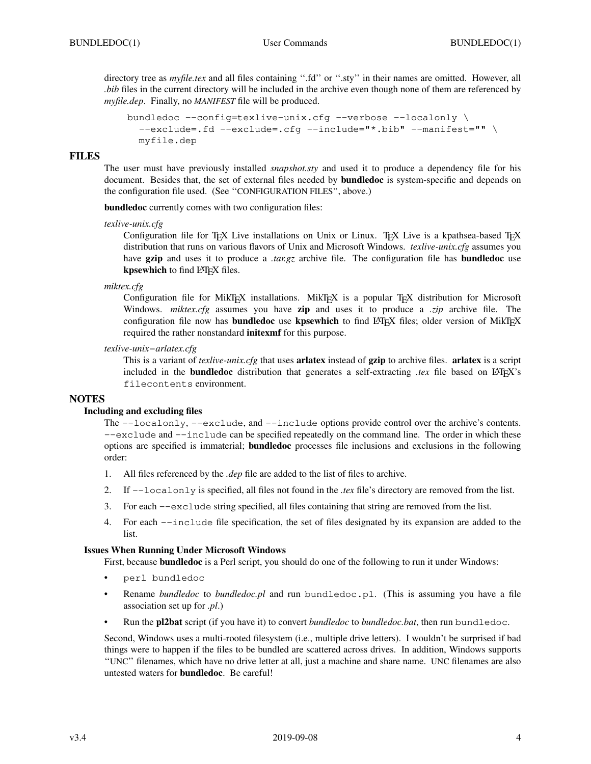directory tree as *myfile.tex* and all files containing ".fd" or ".sty" in their names are omitted. However, all *bib* files in the current directory will be included in the archive even though none of them are referenced by *myfile.dep*. Finally, no *MANIFEST* file will be produced.

```
bundledoc −−config=texlive−unix.cfg −−verbose −−localonly \
  −−exclude=.fd −−exclude=.cfg −−include="*.bib" −−manifest="" \
 myfile.dep
```
## **FILES**

The user must have previously installed *snapshot.sty* and used it to produce a dependency file for his document. Besides that, the set of external files needed by **bundledoc** is system-specific and depends on the configuration file used. (See ''CONFIGURATION FILES'', above.)

**bundledoc** currently comes with two configuration files:

*texlive-unix.cfg*

Configuration file for T<sub>E</sub>X Live installations on Unix or Linux. T<sub>E</sub>X Live is a kpathsea-based T<sub>E</sub>X distribution that runs on various flavors of Unix and Microsoft Windows. *texlive-unix.cfg* assumes you have **gzip** and uses it to produce a *.tar.gz* archive file. The configuration file has **bundledoc** use kpsewhich to find L<sup>AT</sup>EX files.

*miktex.cfg*

Configuration file for MikTEX installations. MikTEX is a popular TEX distribution for Microsoft Windows. *miktex.cfg* assumes you have **zip** and uses it to produce a *.zip* archive file. The configuration file now has **bundledoc** use **kpsewhich** to find LATEX files; older version of MikTEX required the rather nonstandard **initexmf** for this purpose.

*texlive-unix−arlatex.cfg*

This is a variant of *texlive-unix.cfg* that uses **arlatex** instead of **gzip** to archive files. **arlatex** is a script included in the **bundledoc** distribution that generates a self-extracting *.tex* file based on LATEX's filecontents environment.

## **NOTES**

### **Including and excluding files**

The −−localonly, −−exclude, and −−include options provide control over the archive's contents. −−exclude and −−include can be specified repeatedly on the command line. The order in which these options are specified is immaterial; **bundledoc** processes file inclusions and exclusions in the following order:

- 1. All files referenced by the *.dep* file are added to the list of files to archive.
- 2. If −−localonly is specified, all files not found in the *.tex* file's directory are removed from the list.
- 3. For each −−exclude string specified, all files containing that string are removed from the list.
- 4. For each −−include file specification, the set of files designated by its expansion are added to the list.

### **Issues When Running Under Microsoft Windows**

First, because **bundledoc** is a Perl script, you should do one of the following to run it under Windows:

- perl bundledoc
- Rename *bundledoc* to *bundledoc.pl* and run bundledoc.pl. (This is assuming you have a file association set up for *.pl*.)
- Run the **pl2bat** script (if you have it) to convert *bundledoc* to *bundledoc.bat*, then run bundledoc.

Second, Windows uses a multi-rooted filesystem (i.e., multiple drive letters). I wouldn't be surprised if bad things were to happen if the files to be bundled are scattered across drives. In addition, Windows supports ''UNC'' filenames, which have no drive letter at all, just a machine and share name. UNC filenames are also untested waters for **bundledoc**. Be careful!